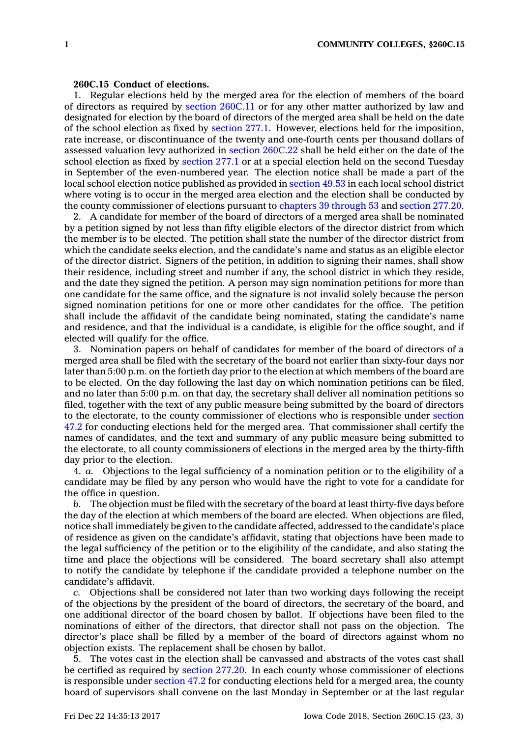## **260C.15 Conduct of elections.**

1. Regular elections held by the merged area for the election of members of the board of directors as required by section [260C.11](https://www.legis.iowa.gov/docs/code/260C.11.pdf) or for any other matter authorized by law and designated for election by the board of directors of the merged area shall be held on the date of the school election as fixed by [section](https://www.legis.iowa.gov/docs/code/277.1.pdf) 277.1. However, elections held for the imposition, rate increase, or discontinuance of the twenty and one-fourth cents per thousand dollars of assessed valuation levy authorized in section [260C.22](https://www.legis.iowa.gov/docs/code/260C.22.pdf) shall be held either on the date of the school election as fixed by [section](https://www.legis.iowa.gov/docs/code/277.1.pdf) 277.1 or at <sup>a</sup> special election held on the second Tuesday in September of the even-numbered year. The election notice shall be made <sup>a</sup> part of the local school election notice published as provided in [section](https://www.legis.iowa.gov/docs/code/49.53.pdf) 49.53 in each local school district where voting is to occur in the merged area election and the election shall be conducted by the county commissioner of elections pursuant to [chapters](https://www.legis.iowa.gov/docs/code/39.pdf) 39 through 53 and [section](https://www.legis.iowa.gov/docs/code/277.20.pdf) 277.20.

2. A candidate for member of the board of directors of <sup>a</sup> merged area shall be nominated by <sup>a</sup> petition signed by not less than fifty eligible electors of the director district from which the member is to be elected. The petition shall state the number of the director district from which the candidate seeks election, and the candidate's name and status as an eligible elector of the director district. Signers of the petition, in addition to signing their names, shall show their residence, including street and number if any, the school district in which they reside, and the date they signed the petition. A person may sign nomination petitions for more than one candidate for the same office, and the signature is not invalid solely because the person signed nomination petitions for one or more other candidates for the office. The petition shall include the affidavit of the candidate being nominated, stating the candidate's name and residence, and that the individual is <sup>a</sup> candidate, is eligible for the office sought, and if elected will qualify for the office.

3. Nomination papers on behalf of candidates for member of the board of directors of <sup>a</sup> merged area shall be filed with the secretary of the board not earlier than sixty-four days nor later than 5:00 p.m. on the fortieth day prior to the election at which members of the board are to be elected. On the day following the last day on which nomination petitions can be filed, and no later than 5:00 p.m. on that day, the secretary shall deliver all nomination petitions so filed, together with the text of any public measure being submitted by the board of directors to the electorate, to the county commissioner of elections who is responsible under [section](https://www.legis.iowa.gov/docs/code/47.2.pdf) [47.2](https://www.legis.iowa.gov/docs/code/47.2.pdf) for conducting elections held for the merged area. That commissioner shall certify the names of candidates, and the text and summary of any public measure being submitted to the electorate, to all county commissioners of elections in the merged area by the thirty-fifth day prior to the election.

4. *a.* Objections to the legal sufficiency of <sup>a</sup> nomination petition or to the eligibility of <sup>a</sup> candidate may be filed by any person who would have the right to vote for <sup>a</sup> candidate for the office in question.

*b.* The objection must be filed with the secretary of the board at least thirty-five days before the day of the election at which members of the board are elected. When objections are filed, notice shall immediately be given to the candidate affected, addressed to the candidate's place of residence as given on the candidate's affidavit, stating that objections have been made to the legal sufficiency of the petition or to the eligibility of the candidate, and also stating the time and place the objections will be considered. The board secretary shall also attempt to notify the candidate by telephone if the candidate provided <sup>a</sup> telephone number on the candidate's affidavit.

*c.* Objections shall be considered not later than two working days following the receipt of the objections by the president of the board of directors, the secretary of the board, and one additional director of the board chosen by ballot. If objections have been filed to the nominations of either of the directors, that director shall not pass on the objection. The director's place shall be filled by <sup>a</sup> member of the board of directors against whom no objection exists. The replacement shall be chosen by ballot.

5. The votes cast in the election shall be canvassed and abstracts of the votes cast shall be certified as required by [section](https://www.legis.iowa.gov/docs/code/277.20.pdf) 277.20. In each county whose commissioner of elections is responsible under [section](https://www.legis.iowa.gov/docs/code/47.2.pdf) 47.2 for conducting elections held for <sup>a</sup> merged area, the county board of supervisors shall convene on the last Monday in September or at the last regular